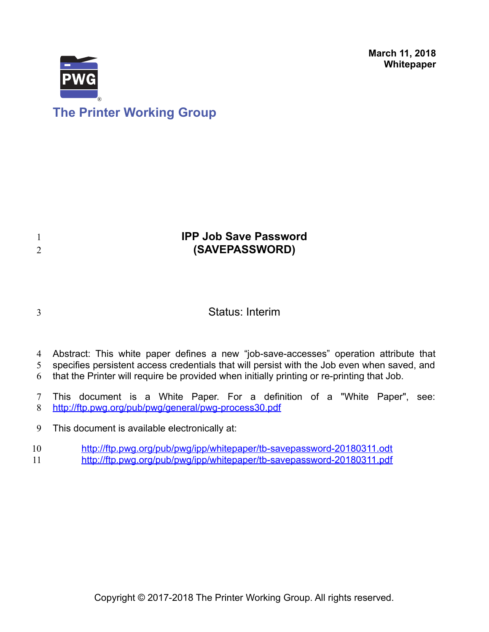**March 11, 2018 Whitepaper**



# **The Printer Working Group**

## **IPP Job Save Password (SAVEPASSWORD)**

3

1 2

Status: Interim

Abstract: This white paper defines a new "job-save-accesses" operation attribute that 4

specifies persistent access credentials that will persist with the Job even when saved, and 5

that the Printer will require be provided when initially printing or re-printing that Job. 6

This document is a White Paper. For a definition of a "White Paper", see: <http://ftp.pwg.org/pub/pwg/general/pwg-process30.pdf> 7 8

This document is available electronically at: 9

<http://ftp.pwg.org/pub/pwg/ipp/whitepaper/tb-savepassword-20180311.odt> 10

<http://ftp.pwg.org/pub/pwg/ipp/whitepaper/tb-savepassword-20180311.pdf> 11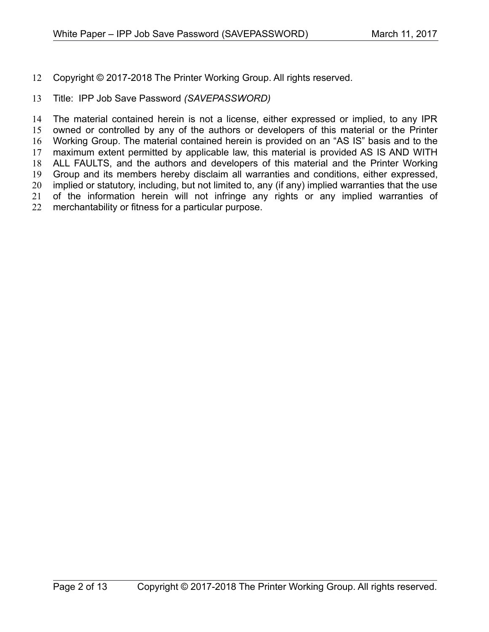Copyright © 2017-2018 The Printer Working Group. All rights reserved. 12

#### Title: IPP Job Save Password *(SAVEPASSWORD)* 13

The material contained herein is not a license, either expressed or implied, to any IPR owned or controlled by any of the authors or developers of this material or the Printer Working Group. The material contained herein is provided on an "AS IS" basis and to the maximum extent permitted by applicable law, this material is provided AS IS AND WITH ALL FAULTS, and the authors and developers of this material and the Printer Working Group and its members hereby disclaim all warranties and conditions, either expressed, implied or statutory, including, but not limited to, any (if any) implied warranties that the use of the information herein will not infringe any rights or any implied warranties of merchantability or fitness for a particular purpose. 14 15 16 17 18 19 20 21 22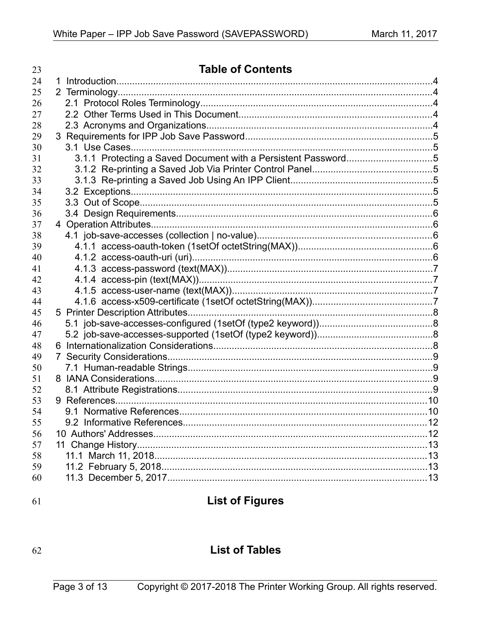| 23 | <b>Table of Contents</b> |  |
|----|--------------------------|--|
| 24 |                          |  |
| 25 |                          |  |
| 26 |                          |  |
| 27 |                          |  |
| 28 |                          |  |
| 29 |                          |  |
| 30 |                          |  |
| 31 |                          |  |
| 32 |                          |  |
| 33 |                          |  |
| 34 |                          |  |
| 35 |                          |  |
| 36 |                          |  |
| 37 |                          |  |
| 38 |                          |  |
| 39 |                          |  |
| 40 |                          |  |
| 41 |                          |  |
| 42 |                          |  |
| 43 |                          |  |
| 44 |                          |  |
| 45 |                          |  |
| 46 |                          |  |
| 47 |                          |  |
| 48 |                          |  |
| 49 | $7\phantom{.}$           |  |
| 50 |                          |  |
| 51 |                          |  |
| 52 |                          |  |
| 53 |                          |  |
| 54 |                          |  |
| 55 |                          |  |
| 56 |                          |  |
| 57 |                          |  |
| 58 |                          |  |
| 59 |                          |  |
| 60 |                          |  |
|    |                          |  |

## 61

# **List of Figures**

## 62

## **List of Tables**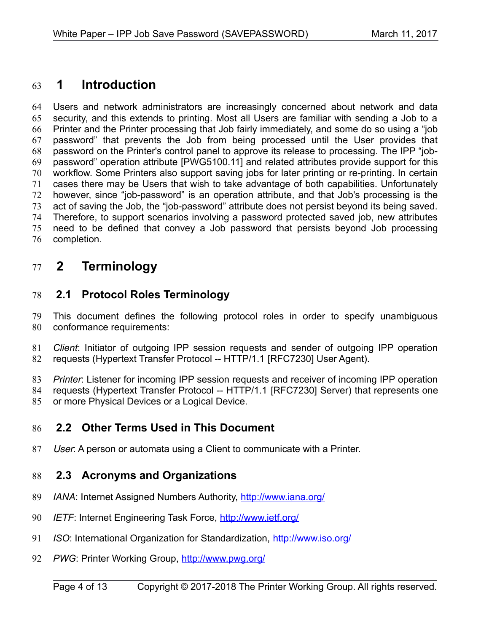## **1 Introduction** 63

Users and network administrators are increasingly concerned about network and data security, and this extends to printing. Most all Users are familiar with sending a Job to a Printer and the Printer processing that Job fairly immediately, and some do so using a "job password" that prevents the Job from being processed until the User provides that password on the Printer's control panel to approve its release to processing. The IPP "jobpassword" operation attribute [\[PWG5100.11\]](#page-9-0) and related attributes provide support for this workflow. Some Printers also support saving jobs for later printing or re-printing. In certain cases there may be Users that wish to take advantage of both capabilities. Unfortunately however, since "job-password" is an operation attribute, and that Job's processing is the act of saving the Job, the "job-password" attribute does not persist beyond its being saved. Therefore, to support scenarios involving a password protected saved job, new attributes need to be defined that convey a Job password that persists beyond Job processing completion. 64 65 66 67 68 69 70 71 72 73 74 75 76

## **2 Terminology** 77

#### **2.1 Protocol Roles Terminology** 78

This document defines the following protocol roles in order to specify unambiguous conformance requirements: 79 80

*Client*: Initiator of outgoing IPP session requests and sender of outgoing IPP operation requests (Hypertext Transfer Protocol -- HTTP/1.1 [\[RFC7230\]](#page-10-0) User Agent). 81 82

*Printer*: Listener for incoming IPP session requests and receiver of incoming IPP operation requests (Hypertext Transfer Protocol -- HTTP/1.1 [\[RFC7230\]](#page-10-0) Server) that represents one or more Physical Devices or a Logical Device. 83 84 85

#### **2.2 Other Terms Used in This Document** 86

User: A person or automata using a Client to communicate with a Printer. 87

#### **2.3 Acronyms and Organizations** 88

- *IANA*: Internet Assigned Numbers Authority,<http://www.iana.org/> 89
- *IETF*: Internet Engineering Task Force,<http://www.ietf.org/> 90
- *ISO*: International Organization for Standardization,<http://www.iso.org/> 91
- PWG: Printer Working Group,<http://www.pwg.org/> 92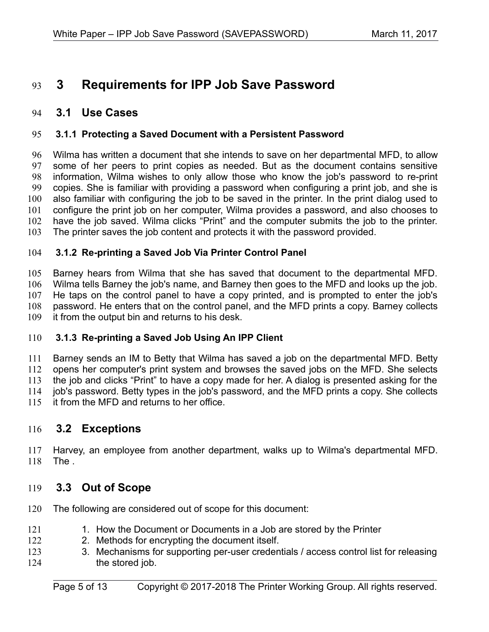## **3 Requirements for IPP Job Save Password** 93

#### **3.1 Use Cases** 94

#### **3.1.1 Protecting a Saved Document with a Persistent Password** 95

Wilma has written a document that she intends to save on her departmental MFD, to allow some of her peers to print copies as needed. But as the document contains sensitive information, Wilma wishes to only allow those who know the job's password to re-print copies. She is familiar with providing a password when configuring a print job, and she is also familiar with configuring the job to be saved in the printer. In the print dialog used to configure the print job on her computer, Wilma provides a password, and also chooses to have the job saved. Wilma clicks "Print" and the computer submits the job to the printer. The printer saves the job content and protects it with the password provided. 96 97 98 99 100 101 102 103

#### **3.1.2 Re-printing a Saved Job Via Printer Control Panel** 104

Barney hears from Wilma that she has saved that document to the departmental MFD. Wilma tells Barney the job's name, and Barney then goes to the MFD and looks up the job. He taps on the control panel to have a copy printed, and is prompted to enter the job's password. He enters that on the control panel, and the MFD prints a copy. Barney collects it from the output bin and returns to his desk. 105 106 107 108 109

#### **3.1.3 Re-printing a Saved Job Using An IPP Client** 110

Barney sends an IM to Betty that Wilma has saved a job on the departmental MFD. Betty opens her computer's print system and browses the saved jobs on the MFD. She selects the job and clicks "Print" to have a copy made for her. A dialog is presented asking for the job's password. Betty types in the job's password, and the MFD prints a copy. She collects it from the MFD and returns to her office. 111 112 113 114 115

#### **3.2 Exceptions** 116

Harvey, an employee from another department, walks up to Wilma's departmental MFD. The . 117 118

#### **3.3 Out of Scope** 119

- The following are considered out of scope for this document: 120
- 1. How the Document or Documents in a Job are stored by the Printer 121
- 2. Methods for encrypting the document itself. 122
- 3. Mechanisms for supporting per-user credentials / access control list for releasing the stored job. 123 124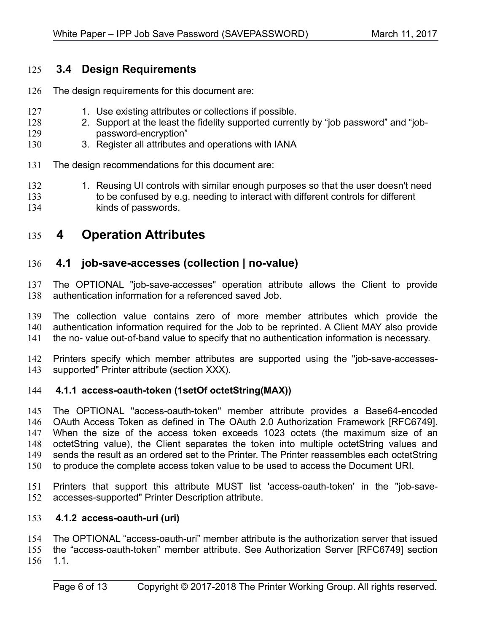### **3.4 Design Requirements** 125

- The design requirements for this document are: 126
- 1. Use existing attributes or collections if possible. 127
- 2. Support at the least the fidelity supported currently by "job password" and "jobpassword-encryption" 128 129
- 3. Register all attributes and operations with IANA 130
- The design recommendations for this document are: 131
- 1. Reusing UI controls with similar enough purposes so that the user doesn't need to be confused by e.g. needing to interact with different controls for different kinds of passwords. 132 133 134
- **4 Operation Attributes** 135

#### **4.1 job-save-accesses (collection | no-value)** 136

The OPTIONAL "job-save-accesses" operation attribute allows the Client to provide authentication information for a referenced saved Job. 137 138

The collection value contains zero of more member attributes which provide the authentication information required for the Job to be reprinted. A Client MAY also provide the no- value out-of-band value to specify that no authentication information is necessary. 139 140 141

Printers specify which member attributes are supported using the "job-save-accesses-142

supported" Printer attribute (section XXX). 143

#### **4.1.1 access-oauth-token (1setOf octetString(MAX))** 144

The OPTIONAL "access-oauth-token" member attribute provides a Base64-encoded OAuth Access Token as defined in The OAuth 2.0 Authorization Framework [RFC6749]. When the size of the access token exceeds 1023 octets (the maximum size of an octetString value), the Client separates the token into multiple octetString values and sends the result as an ordered set to the Printer. The Printer reassembles each octetString to produce the complete access token value to be used to access the Document URI. 145 146 147 148 149 150

Printers that support this attribute MUST list 'access-oauth-token' in the "job-saveaccesses-supported" Printer Description attribute. 151 152

#### **4.1.2 access-oauth-uri (uri)** 153

The OPTIONAL "access-oauth-uri" member attribute is the authorization server that issued the "access-oauth-token" member attribute. See Authorization Server [RFC6749] section 1.1. 154 155 156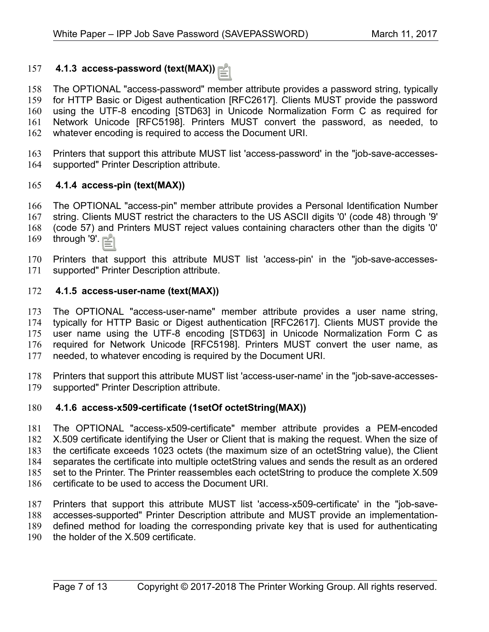#### **4.1.3 access-password (text(MAX))** 157

The OPTIONAL "access-password" member attribute provides a password string, typically for HTTP Basic or Digest authentication [RFC2617]. Clients MUST provide the password using the UTF-8 encoding [STD63] in Unicode Normalization Form C as required for Network Unicode [RFC5198]. Printers MUST convert the password, as needed, to whatever encoding is required to access the Document URI. 158 159 160 161 162

Printers that support this attribute MUST list 'access-password' in the "job-save-accessessupported" Printer Description attribute. 163 164

#### **4.1.4 access-pin (text(MAX))** 165

The OPTIONAL "access-pin" member attribute provides a Personal Identification Number string. Clients MUST restrict the characters to the US ASCII digits '0' (code 48) through '9' (code 57) and Printers MUST reject values containing characters other than the digits '0' through '9'. 166 167 168 169

Printers that support this attribute MUST list 'access-pin' in the "job-save-accessessupported" Printer Description attribute. 170 171

#### **4.1.5 access-user-name (text(MAX))** 172

The OPTIONAL "access-user-name" member attribute provides a user name string, typically for HTTP Basic or Digest authentication [RFC2617]. Clients MUST provide the user name using the UTF-8 encoding [STD63] in Unicode Normalization Form C as required for Network Unicode [RFC5198]. Printers MUST convert the user name, as needed, to whatever encoding is required by the Document URI. 173 174 175 176 177

Printers that support this attribute MUST list 'access-user-name' in the "job-save-accessessupported" Printer Description attribute. 178 179

#### **4.1.6 access-x509-certificate (1setOf octetString(MAX))** 180

The OPTIONAL "access-x509-certificate" member attribute provides a PEM-encoded X.509 certificate identifying the User or Client that is making the request. When the size of the certificate exceeds 1023 octets (the maximum size of an octetString value), the Client separates the certificate into multiple octetString values and sends the result as an ordered set to the Printer. The Printer reassembles each octetString to produce the complete X.509 certificate to be used to access the Document URI. 181 182 183 184 185 186

Printers that support this attribute MUST list 'access-x509-certificate' in the "job-saveaccesses-supported" Printer Description attribute and MUST provide an implementationdefined method for loading the corresponding private key that is used for authenticating the holder of the X.509 certificate. 187 188 189 190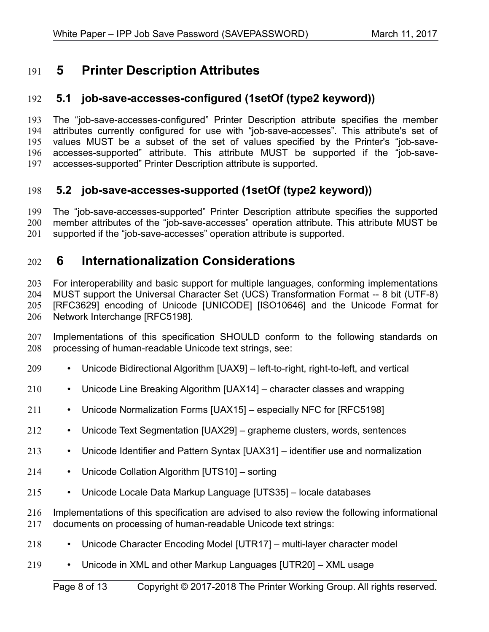## **5 Printer Description Attributes** 191

#### **5.1 job-save-accesses-configured (1setOf (type2 keyword))** 192

The "job-save-accesses-configured" Printer Description attribute specifies the member attributes currently configured for use with "job-save-accesses". This attribute's set of values MUST be a subset of the set of values specified by the Printer's "job-saveaccesses-supported" attribute. This attribute MUST be supported if the "job-saveaccesses-supported" Printer Description attribute is supported. 193 194 195 196 197

#### **5.2 job-save-accesses-supported (1setOf (type2 keyword))** 198

The "job-save-accesses-supported" Printer Description attribute specifies the supported member attributes of the "job-save-accesses" operation attribute. This attribute MUST be supported if the "job-save-accesses" operation attribute is supported. 199 200 201

### **6 Internationalization Considerations** 202

For interoperability and basic support for multiple languages, conforming implementations MUST support the Universal Character Set (UCS) Transformation Format -- 8 bit (UTF-8) [RFC3629] encoding of Unicode [\[UNICODE\]](#page-10-9) [\[ISO10646\]](#page-9-1) and the Unicode Format for Network Interchange [\[RFC5198\].](#page-10-5) 203 204 205 206

Implementations of this specification SHOULD conform to the following standards on processing of human-readable Unicode text strings, see: 207 208

- Unicode Bidirectional Algorithm [\[UAX9\]](#page-10-8)  left-to-right, right-to-left, and vertical 209
- Unicode Line Breaking Algorithm [\[UAX14\]](#page-10-7)  character classes and wrapping 210
- Unicode Normalization Forms [\[UAX15\]](#page-10-6)  especially NFC for [\[RFC5198\]](#page-10-5) 211
- Unicode Text Segmentation [\[UAX29\]](#page-10-4)  grapheme clusters, words, sentences 212
- Unicode Identifier and Pattern Syntax [\[UAX31\]](#page-10-3)  identifier use and normalization 213
- Unicode Collation Algorithm [\[UTS10\]](#page-10-2)  sorting 214
- Unicode Locale Data Markup Language [\[UTS35\]](#page-10-1)  locale databases 215
- Implementations of this specification are advised to also review the following informational documents on processing of human-readable Unicode text strings: 216 217
- Unicode Character Encoding Model [\[UTR17\]](#page-11-1)  multi-layer character model 218
- Unicode in XML and other Markup Languages [\[UTR20\]](#page-11-0)  XML usage 219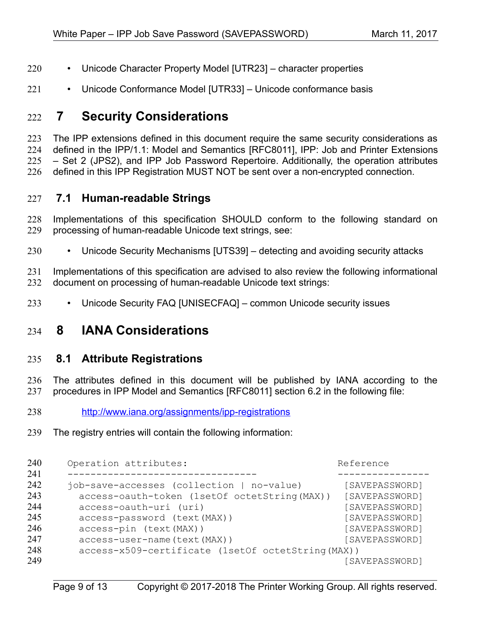- Unicode Character Property Model [\[UTR23\]](#page-11-5)  character properties 220
- Unicode Conformance Model [\[UTR33\]](#page-11-4)  Unicode conformance basis 221

## **7 Security Considerations** 222

The IPP extensions defined in this document require the same security considerations as defined in the IPP/1.1: Model and Semantics [\[RFC8011\],](#page-10-10) IPP: Job and Printer Extensions – Set 2 (JPS2), and IPP Job Password Repertoire. Additionally, the operation attributes defined in this IPP Registration MUST NOT be sent over a non-encrypted connection. 223 224 225 226

### **7.1 Human-readable Strings**  227

Implementations of this specification SHOULD conform to the following standard on processing of human-readable Unicode text strings, see: 228 229

• Unicode Security Mechanisms [\[UTS39\]](#page-11-3) – detecting and avoiding security attacks 230

Implementations of this specification are advised to also review the following informational document on processing of human-readable Unicode text strings: 231 232

• Unicode Security FAQ [\[UNISECFAQ\]](#page-11-2) – common Unicode security issues 233

## **8 IANA Considerations** 234

#### **8.1 Attribute Registrations** 235

The attributes defined in this document will be published by IANA according to the procedures in IPP Model and Semantics [\[RFC8011\]](#page-10-10) section 6.2 in the following file: 236 237

- <http://www.iana.org/assignments/ipp-registrations> 238
- The registry entries will contain the following information: 239

| Operation attributes:                                                                                                                                                           | Reference                                                                              |  |
|---------------------------------------------------------------------------------------------------------------------------------------------------------------------------------|----------------------------------------------------------------------------------------|--|
| job-save-accesses (collection   no-value)<br>access-oauth-token (1setOf octetString (MAX))<br>access-oauth-uri (uri)<br>access-password (text (MAX))<br>access-pin (text (MAX)) | [SAVEPASSWORD]<br>[SAVEPASSWORD]<br>[SAVEPASSWORD]<br>[SAVEPASSWORD]<br>[SAVEPASSWORD] |  |
| [SAVEPASSWORD]<br>access-user-name (text (MAX))<br>access-x509-certificate (1setOf octetString (MAX))<br>[SAVEPASSWORD]                                                         |                                                                                        |  |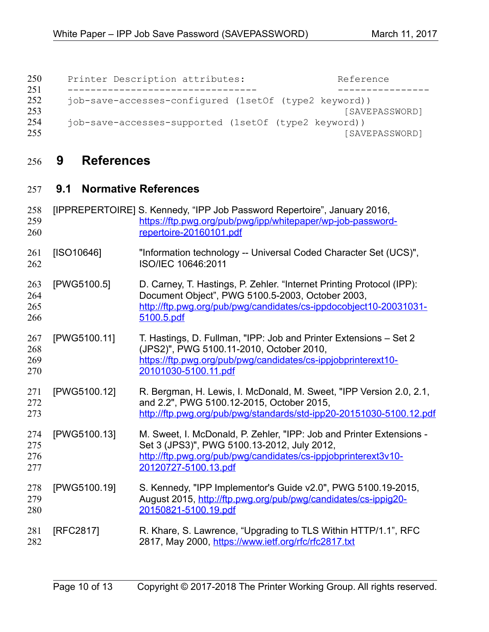| 250<br>251 | Printer Description attributes:                       | Reference      |
|------------|-------------------------------------------------------|----------------|
| 252<br>253 | job-save-accesses-configured (1setOf (type2 keyword)) | [SAVEPASSWORD] |
| 254<br>255 | job-save-accesses-supported (1setOf (type2 keyword))  | [SAVEPASSWORD] |

# **9 References** 256

## **9.1 Normative References** 257

<span id="page-9-1"></span><span id="page-9-0"></span>

| 258<br>259<br>260        |              | [IPPREPERTOIRE] S. Kennedy, "IPP Job Password Repertoire", January 2016,<br>https://ftp.pwg.org/pub/pwg/ipp/whitepaper/wp-job-password-<br>repertoire-20160101.pdf                                            |
|--------------------------|--------------|---------------------------------------------------------------------------------------------------------------------------------------------------------------------------------------------------------------|
| 261<br>262               | [ SO10646]   | "Information technology -- Universal Coded Character Set (UCS)",<br>ISO/IEC 10646:2011                                                                                                                        |
| 263<br>264<br>265<br>266 | [PWG5100.5]  | D. Carney, T. Hastings, P. Zehler. "Internet Printing Protocol (IPP):<br>Document Object", PWG 5100.5-2003, October 2003,<br>http://ftp.pwg.org/pub/pwg/candidates/cs-ippdocobject10-20031031-<br>5100.5.pdf  |
| 267<br>268<br>269<br>270 | [PWG5100.11] | T. Hastings, D. Fullman, "IPP: Job and Printer Extensions - Set 2<br>(JPS2)", PWG 5100.11-2010, October 2010,<br>https://ftp.pwg.org/pub/pwg/candidates/cs-ippjobprinterext10-<br>20101030-5100.11.pdf        |
| 271<br>272<br>273        | [PWG5100.12] | R. Bergman, H. Lewis, I. McDonald, M. Sweet, "IPP Version 2.0, 2.1,<br>and 2.2", PWG 5100.12-2015, October 2015,<br>http://ftp.pwg.org/pub/pwg/standards/std-ipp20-20151030-5100.12.pdf                       |
| 274<br>275<br>276<br>277 | [PWG5100.13] | M. Sweet, I. McDonald, P. Zehler, "IPP: Job and Printer Extensions -<br>Set 3 (JPS3)", PWG 5100.13-2012, July 2012,<br>http://ftp.pwg.org/pub/pwg/candidates/cs-ippjobprinterext3v10-<br>20120727-5100.13.pdf |
| 278<br>279<br>280        | [PWG5100.19] | S. Kennedy, "IPP Implementor's Guide v2.0", PWG 5100.19-2015,<br>August 2015, http://ftp.pwg.org/pub/pwg/candidates/cs-ippig20-<br>20150821-5100.19.pdf                                                       |
| 281<br>282               | [RFC2817]    | R. Khare, S. Lawrence, "Upgrading to TLS Within HTTP/1.1", RFC<br>2817, May 2000, https://www.ietf.org/rfc/rfc2817.txt                                                                                        |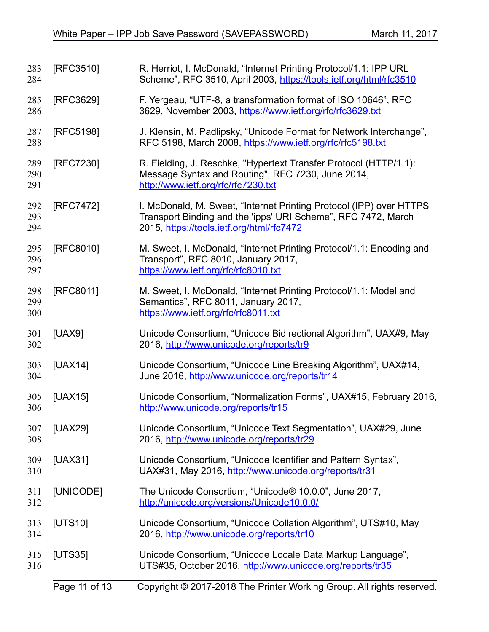<span id="page-10-10"></span><span id="page-10-9"></span><span id="page-10-8"></span><span id="page-10-7"></span><span id="page-10-6"></span><span id="page-10-5"></span><span id="page-10-4"></span><span id="page-10-3"></span><span id="page-10-2"></span><span id="page-10-1"></span><span id="page-10-0"></span>

|                   | Page 11 of 13 | Copyright © 2017-2018 The Printer Working Group. All rights reserved.                                                                                                             |
|-------------------|---------------|-----------------------------------------------------------------------------------------------------------------------------------------------------------------------------------|
| 315<br>316        | [UTS35]       | Unicode Consortium, "Unicode Locale Data Markup Language",<br>UTS#35, October 2016, http://www.unicode.org/reports/tr35                                                           |
| 313<br>314        | [UTS10]       | Unicode Consortium, "Unicode Collation Algorithm", UTS#10, May<br>2016, http://www.unicode.org/reports/tr10                                                                       |
| 311<br>312        | [UNICODE]     | The Unicode Consortium, "Unicode® 10.0.0", June 2017,<br>http://unicode.org/versions/Unicode10.0.0/                                                                               |
| 309<br>310        | [UAX31]       | Unicode Consortium, "Unicode Identifier and Pattern Syntax",<br>UAX#31, May 2016, http://www.unicode.org/reports/tr31                                                             |
| 307<br>308        | [UAX29]       | Unicode Consortium, "Unicode Text Segmentation", UAX#29, June<br>2016, http://www.unicode.org/reports/tr29                                                                        |
| 305<br>306        | [UAX15]       | Unicode Consortium, "Normalization Forms", UAX#15, February 2016,<br>http://www.unicode.org/reports/tr15                                                                          |
| 303<br>304        | [UAX14]       | Unicode Consortium, "Unicode Line Breaking Algorithm", UAX#14,<br>June 2016, http://www.unicode.org/reports/tr14                                                                  |
| 301<br>302        | [UAX9]        | Unicode Consortium, "Unicode Bidirectional Algorithm", UAX#9, May<br>2016, http://www.unicode.org/reports/tr9                                                                     |
| 298<br>299<br>300 | [RFC8011]     | M. Sweet, I. McDonald, "Internet Printing Protocol/1.1: Model and<br>Semantics", RFC 8011, January 2017,<br>https://www.ietf.org/rfc/rfc8011.txt                                  |
| 295<br>296<br>297 | [RFC8010]     | M. Sweet, I. McDonald, "Internet Printing Protocol/1.1: Encoding and<br>Transport", RFC 8010, January 2017,<br>https://www.ietf.org/rfc/rfc8010.txt                               |
| 292<br>293<br>294 | [RFC7472]     | I. McDonald, M. Sweet, "Internet Printing Protocol (IPP) over HTTPS<br>Transport Binding and the 'ipps' URI Scheme", RFC 7472, March<br>2015, https://tools.ietf.org/html/rfc7472 |
| 289<br>290<br>291 | [RFC7230]     | R. Fielding, J. Reschke, "Hypertext Transfer Protocol (HTTP/1.1):<br>Message Syntax and Routing", RFC 7230, June 2014,<br>http://www.ietf.org/rfc/rfc7230.txt                     |
| 287<br>288        | [RFC5198]     | J. Klensin, M. Padlipsky, "Unicode Format for Network Interchange",<br>RFC 5198, March 2008, https://www.ietf.org/rfc/rfc5198.txt                                                 |
| 285<br>286        | [RFC3629]     | F. Yergeau, "UTF-8, a transformation format of ISO 10646", RFC<br>3629, November 2003, https://www.ietf.org/rfc/rfc3629.txt                                                       |
| 283<br>284        | [RFC3510]     | R. Herriot, I. McDonald, "Internet Printing Protocol/1.1: IPP URL<br>Scheme", RFC 3510, April 2003, https://tools.ietf.org/html/rfc3510                                           |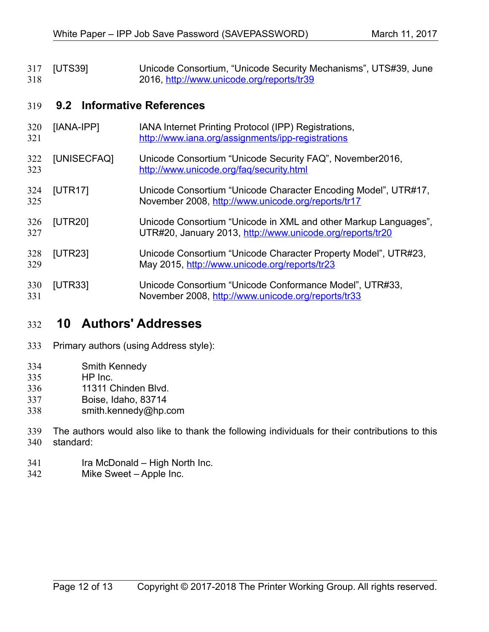<span id="page-11-3"></span>[UTS39] Unicode Consortium, "Unicode Security Mechanisms", UTS#39, June 2016,<http://www.unicode.org/reports/tr39> 317 318

#### **9.2 Informative References** 319

- [IANA-IPP] IANA Internet Printing Protocol (IPP) Registrations, <http://www.iana.org/assignments/ipp-registrations> 320 321
- <span id="page-11-2"></span>[UNISECFAQ] Unicode Consortium "Unicode Security FAQ", November2016, <http://www.unicode.org/faq/security.html> 322 323
- <span id="page-11-1"></span>[UTR17] Unicode Consortium "Unicode Character Encoding Model", UTR#17, November 2008,<http://www.unicode.org/reports/tr17> 324 325
- <span id="page-11-0"></span>[UTR20] Unicode Consortium "Unicode in XML and other Markup Languages", UTR#20, January 2013,<http://www.unicode.org/reports/tr20> 326 327
- <span id="page-11-5"></span>[UTR23] Unicode Consortium "Unicode Character Property Model", UTR#23, May 2015,<http://www.unicode.org/reports/tr23> 328 329
- <span id="page-11-4"></span>[UTR33] Unicode Consortium "Unicode Conformance Model", UTR#33, November 2008,<http://www.unicode.org/reports/tr33> 330 331

### **10 Authors' Addresses** 332

- Primary authors (using Address style): 333
- Smith Kennedy 334
- HP Inc. 335
- 11311 Chinden Blvd. 336
- Boise, Idaho, 83714 337
- smith.kennedy@hp.com 338
- The authors would also like to thank the following individuals for their contributions to this standard: 339 340
- Ira McDonald High North Inc. 341
- Mike Sweet Apple Inc. 342